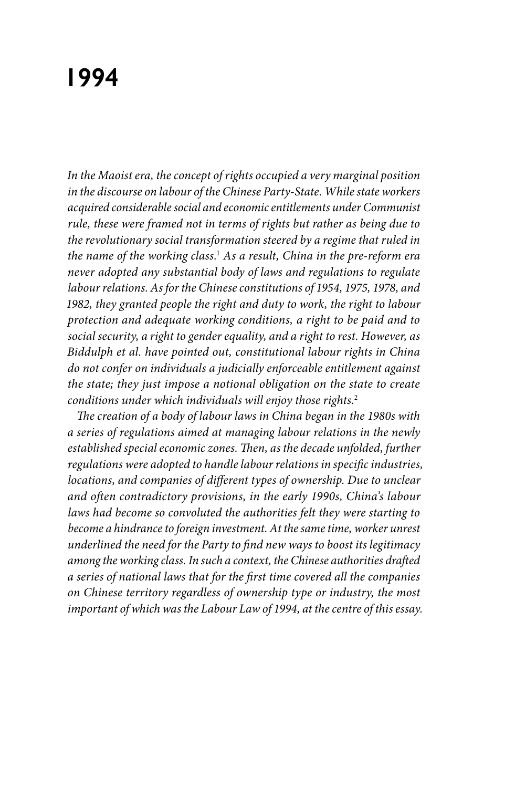# **1994**

*In the Maoist era, the concept of rights occupied a very marginal position in the discourse on labour of the Chinese Party-State. While state workers acquired considerable social and economic entitlements under Communist rule, these were framed not in terms of rights but rather as being due to the revolutionary social transformation steered by a regime that ruled in the name of the working class.*<sup>1</sup>  *As a result, China in the pre-reform era never adopted any substantial body of laws and regulations to regulate labour relations. As for the Chinese constitutions of 1954, 1975, 1978, and 1982, they granted people the right and duty to work, the right to labour protection and adequate working conditions, a right to be paid and to social security, a right to gender equality, and a right to rest. However, as Biddulph et al. have pointed out, constitutional labour rights in China do not confer on individuals a judicially enforceable entitlement against the state; they just impose a notional obligation on the state to create conditions under which individuals will enjoy those rights.*<sup>2</sup>

*The creation of a body of labour laws in China began in the 1980s with a series of regulations aimed at managing labour relations in the newly established special economic zones. Then, as the decade unfolded, further regulations were adopted to handle labour relations in specific industries, locations, and companies of different types of ownership. Due to unclear and often contradictory provisions, in the early 1990s, China's labour laws had become so convoluted the authorities felt they were starting to become a hindrance to foreign investment. At the same time, worker unrest underlined the need for the Party to find new ways to boost its legitimacy among the working class. In such a context, the Chinese authorities drafted a series of national laws that for the first time covered all the companies on Chinese territory regardless of ownership type or industry, the most important of which was the Labour Law of 1994, at the centre of this essay.*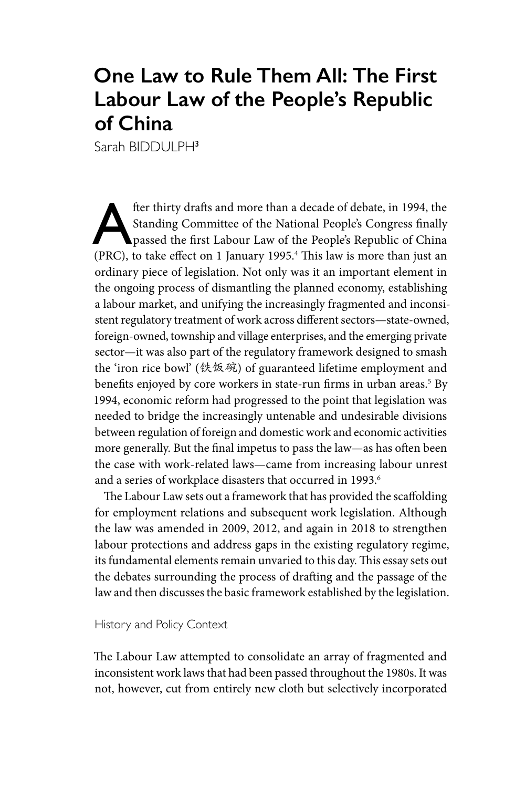## **One Law to Rule Them All: The First Labour Law of the People's Republic of China**

Sarah BIDDULPH3

fter thirty drafts and more than a decade of debate, in 1994, the Standing Committee of the National People's Congress finally passed the first Labour Law of the People's Republic of China (PPC) to take affect on 1 January Standing Committee of the National People's Congress finally (PRC), to take effect on 1 January 1995.4 This law is more than just an ordinary piece of legislation. Not only was it an important element in the ongoing process of dismantling the planned economy, establishing a labour market, and unifying the increasingly fragmented and inconsistent regulatory treatment of work across different sectors—state-owned, foreign-owned, township and village enterprises, and the emerging private sector—it was also part of the regulatory framework designed to smash the 'iron rice bowl' (铁饭碗) of guaranteed lifetime employment and benefits enjoyed by core workers in state-run firms in urban areas.<sup>5</sup> By 1994, economic reform had progressed to the point that legislation was needed to bridge the increasingly untenable and undesirable divisions between regulation of foreign and domestic work and economic activities more generally. But the final impetus to pass the law—as has often been the case with work-related laws—came from increasing labour unrest and a series of workplace disasters that occurred in 1993.<sup>6</sup>

The Labour Law sets out a framework that has provided the scaffolding for employment relations and subsequent work legislation. Although the law was amended in 2009, 2012, and again in 2018 to strengthen labour protections and address gaps in the existing regulatory regime, its fundamental elements remain unvaried to this day. This essay sets out the debates surrounding the process of drafting and the passage of the law and then discusses the basic framework established by the legislation.

#### History and Policy Context

The Labour Law attempted to consolidate an array of fragmented and inconsistent work laws that had been passed throughout the 1980s. It was not, however, cut from entirely new cloth but selectively incorporated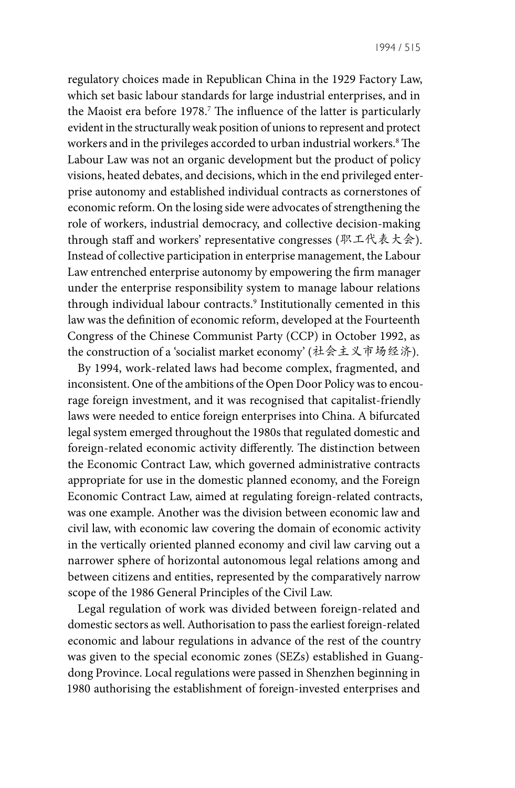regulatory choices made in Republican China in the 1929 Factory Law, which set basic labour standards for large industrial enterprises, and in the Maoist era before 1978.7 The influence of the latter is particularly evident in the structurally weak position of unions to represent and protect workers and in the privileges accorded to urban industrial workers.8 The Labour Law was not an organic development but the product of policy visions, heated debates, and decisions, which in the end privileged enterprise autonomy and established individual contracts as cornerstones of economic reform. On the losing side were advocates of strengthening the role of workers, industrial democracy, and collective decision-making through staff and workers' representative congresses (职工代表大会). Instead of collective participation in enterprise management, the Labour Law entrenched enterprise autonomy by empowering the firm manager under the enterprise responsibility system to manage labour relations through individual labour contracts.9 Institutionally cemented in this law was the definition of economic reform, developed at the Fourteenth Congress of the Chinese Communist Party (CCP) in October 1992, as the construction of a 'socialist market economy' (社会主义市场经济).

By 1994, work-related laws had become complex, fragmented, and inconsistent. One of the ambitions of the Open Door Policy was to encourage foreign investment, and it was recognised that capitalist-friendly laws were needed to entice foreign enterprises into China. A bifurcated legal system emerged throughout the 1980s that regulated domestic and foreign-related economic activity differently. The distinction between the Economic Contract Law, which governed administrative contracts appropriate for use in the domestic planned economy, and the Foreign Economic Contract Law, aimed at regulating foreign-related contracts, was one example. Another was the division between economic law and civil law, with economic law covering the domain of economic activity in the vertically oriented planned economy and civil law carving out a narrower sphere of horizontal autonomous legal relations among and between citizens and entities, represented by the comparatively narrow scope of the 1986 General Principles of the Civil Law.

Legal regulation of work was divided between foreign-related and domestic sectors as well. Authorisation to pass the earliest foreign-related economic and labour regulations in advance of the rest of the country was given to the special economic zones (SEZs) established in Guangdong Province. Local regulations were passed in Shenzhen beginning in 1980 authorising the establishment of foreign-invested enterprises and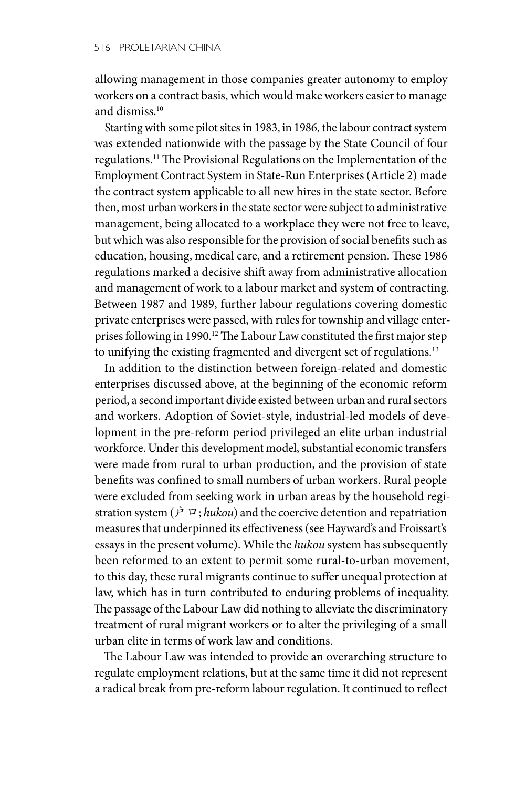allowing management in those companies greater autonomy to employ workers on a contract basis, which would make workers easier to manage and dismiss.10

Starting with some pilot sites in 1983, in 1986, the labour contract system was extended nationwide with the passage by the State Council of four regulations.11 The Provisional Regulations on the Implementation of the Employment Contract System in State-Run Enterprises (Article 2) made the contract system applicable to all new hires in the state sector. Before then, most urban workers in the state sector were subject to administrative management, being allocated to a workplace they were not free to leave, but which was also responsible for the provision of social benefits such as education, housing, medical care, and a retirement pension. These 1986 regulations marked a decisive shift away from administrative allocation and management of work to a labour market and system of contracting. Between 1987 and 1989, further labour regulations covering domestic private enterprises were passed, with rules for township and village enterprises following in 1990.<sup>12</sup> The Labour Law constituted the first major step to unifying the existing fragmented and divergent set of regulations.<sup>13</sup>

In addition to the distinction between foreign-related and domestic enterprises discussed above, at the beginning of the economic reform period, a second important divide existed between urban and rural sectors and workers. Adoption of Soviet-style, industrial-led models of development in the pre-reform period privileged an elite urban industrial workforce. Under this development model, substantial economic transfers were made from rural to urban production, and the provision of state benefits was confined to small numbers of urban workers. Rural people were excluded from seeking work in urban areas by the household registration system ( $\dot{P}$   $\alpha$ ; *hukou*) and the coercive detention and repatriation measures that underpinned its effectiveness (see Hayward's and Froissart's essays in the present volume). While the *hukou* system has subsequently been reformed to an extent to permit some rural-to-urban movement, to this day, these rural migrants continue to suffer unequal protection at law, which has in turn contributed to enduring problems of inequality. The passage of the Labour Law did nothing to alleviate the discriminatory treatment of rural migrant workers or to alter the privileging of a small urban elite in terms of work law and conditions.

The Labour Law was intended to provide an overarching structure to regulate employment relations, but at the same time it did not represent a radical break from pre-reform labour regulation. It continued to reflect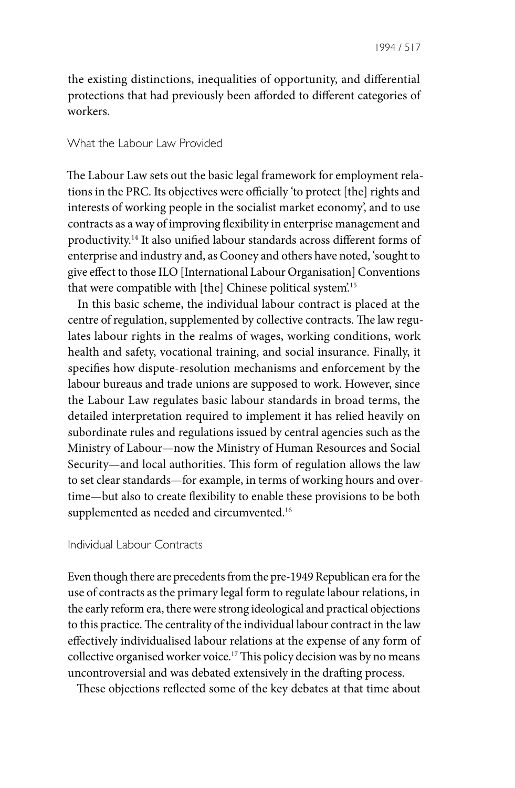the existing distinctions, inequalities of opportunity, and differential protections that had previously been afforded to different categories of workers.

#### What the Labour Law Provided

The Labour Law sets out the basic legal framework for employment relations in the PRC. Its objectives were officially 'to protect [the] rights and interests of working people in the socialist market economy', and to use contracts as a way of improving flexibility in enterprise management and productivity.14 It also unified labour standards across different forms of enterprise and industry and, as Cooney and others have noted, 'sought to give effect to those ILO [International Labour Organisation] Conventions that were compatible with [the] Chinese political system'.15

In this basic scheme, the individual labour contract is placed at the centre of regulation, supplemented by collective contracts. The law regulates labour rights in the realms of wages, working conditions, work health and safety, vocational training, and social insurance. Finally, it specifies how dispute-resolution mechanisms and enforcement by the labour bureaus and trade unions are supposed to work. However, since the Labour Law regulates basic labour standards in broad terms, the detailed interpretation required to implement it has relied heavily on subordinate rules and regulations issued by central agencies such as the Ministry of Labour—now the Ministry of Human Resources and Social Security—and local authorities. This form of regulation allows the law to set clear standards—for example, in terms of working hours and overtime—but also to create flexibility to enable these provisions to be both supplemented as needed and circumvented.<sup>16</sup>

#### Individual Labour Contracts

Even though there are precedents from the pre-1949 Republican era for the use of contracts as the primary legal form to regulate labour relations, in the early reform era, there were strong ideological and practical objections to this practice. The centrality of the individual labour contract in the law effectively individualised labour relations at the expense of any form of collective organised worker voice.17 This policy decision was by no means uncontroversial and was debated extensively in the drafting process.

These objections reflected some of the key debates at that time about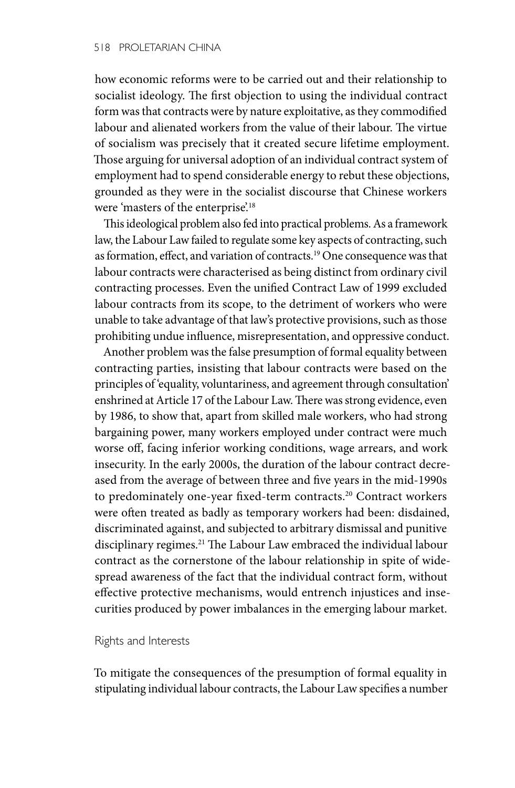how economic reforms were to be carried out and their relationship to socialist ideology. The first objection to using the individual contract form was that contracts were by nature exploitative, as they commodified labour and alienated workers from the value of their labour. The virtue of socialism was precisely that it created secure lifetime employment. Those arguing for universal adoption of an individual contract system of employment had to spend considerable energy to rebut these objections, grounded as they were in the socialist discourse that Chinese workers were 'masters of the enterprise'.<sup>18</sup>

This ideological problem also fed into practical problems. As a framework law, the Labour Law failed to regulate some key aspects of contracting, such as formation, effect, and variation of contracts.19 One consequence was that labour contracts were characterised as being distinct from ordinary civil contracting processes. Even the unified Contract Law of 1999 excluded labour contracts from its scope, to the detriment of workers who were unable to take advantage of that law's protective provisions, such as those prohibiting undue influence, misrepresentation, and oppressive conduct.

Another problem was the false presumption of formal equality between contracting parties, insisting that labour contracts were based on the principles of 'equality, voluntariness, and agreement through consultation' enshrined at Article 17 of the Labour Law. There was strong evidence, even by 1986, to show that, apart from skilled male workers, who had strong bargaining power, many workers employed under contract were much worse off, facing inferior working conditions, wage arrears, and work insecurity. In the early 2000s, the duration of the labour contract decreased from the average of between three and five years in the mid-1990s to predominately one-year fixed-term contracts.20 Contract workers were often treated as badly as temporary workers had been: disdained, discriminated against, and subjected to arbitrary dismissal and punitive disciplinary regimes.21 The Labour Law embraced the individual labour contract as the cornerstone of the labour relationship in spite of widespread awareness of the fact that the individual contract form, without effective protective mechanisms, would entrench injustices and insecurities produced by power imbalances in the emerging labour market.

#### Rights and Interests

To mitigate the consequences of the presumption of formal equality in stipulating individual labour contracts, the Labour Law specifies a number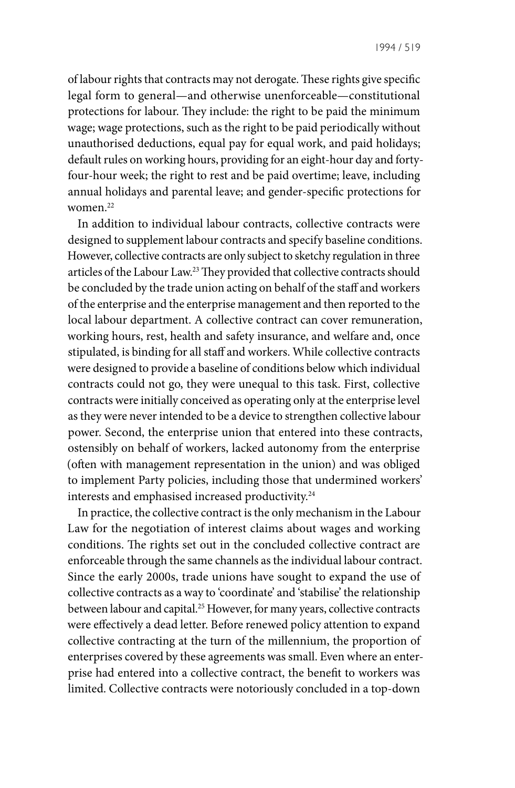of labour rights that contracts may not derogate. These rights give specific legal form to general—and otherwise unenforceable—constitutional protections for labour. They include: the right to be paid the minimum wage; wage protections, such as the right to be paid periodically without unauthorised deductions, equal pay for equal work, and paid holidays; default rules on working hours, providing for an eight-hour day and fortyfour-hour week; the right to rest and be paid overtime; leave, including annual holidays and parental leave; and gender-specific protections for women.22

In addition to individual labour contracts, collective contracts were designed to supplement labour contracts and specify baseline conditions. However, collective contracts are only subject to sketchy regulation in three articles of the Labour Law.23 They provided that collective contracts should be concluded by the trade union acting on behalf of the staff and workers of the enterprise and the enterprise management and then reported to the local labour department. A collective contract can cover remuneration, working hours, rest, health and safety insurance, and welfare and, once stipulated, is binding for all staff and workers. While collective contracts were designed to provide a baseline of conditions below which individual contracts could not go, they were unequal to this task. First, collective contracts were initially conceived as operating only at the enterprise level as they were never intended to be a device to strengthen collective labour power. Second, the enterprise union that entered into these contracts, ostensibly on behalf of workers, lacked autonomy from the enterprise (often with management representation in the union) and was obliged to implement Party policies, including those that undermined workers' interests and emphasised increased productivity.<sup>24</sup>

In practice, the collective contract is the only mechanism in the Labour Law for the negotiation of interest claims about wages and working conditions. The rights set out in the concluded collective contract are enforceable through the same channels as the individual labour contract. Since the early 2000s, trade unions have sought to expand the use of collective contracts as a way to 'coordinate' and 'stabilise' the relationship between labour and capital.25 However, for many years, collective contracts were effectively a dead letter. Before renewed policy attention to expand collective contracting at the turn of the millennium, the proportion of enterprises covered by these agreements was small. Even where an enterprise had entered into a collective contract, the benefit to workers was limited. Collective contracts were notoriously concluded in a top-down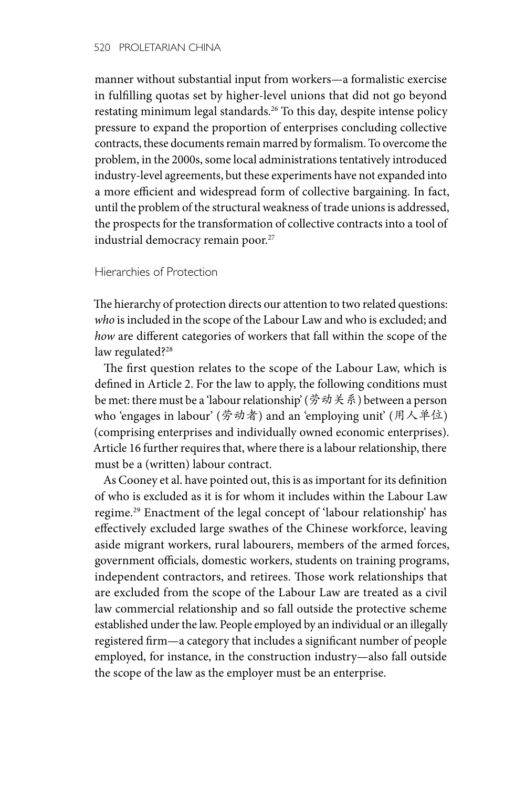manner without substantial input from workers—a formalistic exercise in fulfilling quotas set by higher-level unions that did not go beyond restating minimum legal standards.26 To this day, despite intense policy pressure to expand the proportion of enterprises concluding collective contracts, these documents remain marred by formalism. To overcome the problem, in the 2000s, some local administrations tentatively introduced industry-level agreements, but these experiments have not expanded into a more efficient and widespread form of collective bargaining. In fact, until the problem of the structural weakness of trade unions is addressed, the prospects for the transformation of collective contracts into a tool of industrial democracy remain poor.<sup>27</sup>

#### Hierarchies of Protection

The hierarchy of protection directs our attention to two related questions: *who* is included in the scope of the Labour Law and who is excluded; and *how* are different categories of workers that fall within the scope of the law regulated?<sup>28</sup>

The first question relates to the scope of the Labour Law, which is defined in Article 2. For the law to apply, the following conditions must be met: there must be a 'labour relationship' (劳动关系) between a person who 'engages in labour' (劳动者) and an 'employing unit' (用人单位) (comprising enterprises and individually owned economic enterprises). Article 16 further requires that, where there is a labour relationship, there must be a (written) labour contract.

As Cooney et al. have pointed out, this is as important for its definition of who is excluded as it is for whom it includes within the Labour Law regime.29 Enactment of the legal concept of 'labour relationship' has effectively excluded large swathes of the Chinese workforce, leaving aside migrant workers, rural labourers, members of the armed forces, government officials, domestic workers, students on training programs, independent contractors, and retirees. Those work relationships that are excluded from the scope of the Labour Law are treated as a civil law commercial relationship and so fall outside the protective scheme established under the law. People employed by an individual or an illegally registered firm—a category that includes a significant number of people employed, for instance, in the construction industry—also fall outside the scope of the law as the employer must be an enterprise.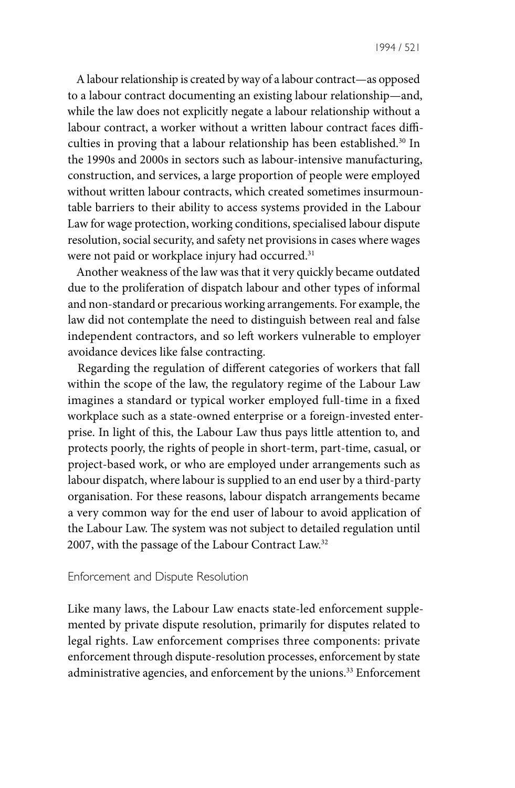A labour relationship is created by way of a labour contract—as opposed to a labour contract documenting an existing labour relationship—and, while the law does not explicitly negate a labour relationship without a labour contract, a worker without a written labour contract faces difficulties in proving that a labour relationship has been established.<sup>30</sup> In the 1990s and 2000s in sectors such as labour-intensive manufacturing, construction, and services, a large proportion of people were employed without written labour contracts, which created sometimes insurmountable barriers to their ability to access systems provided in the Labour Law for wage protection, working conditions, specialised labour dispute resolution, social security, and safety net provisions in cases where wages were not paid or workplace injury had occurred.<sup>31</sup>

Another weakness of the law was that it very quickly became outdated due to the proliferation of dispatch labour and other types of informal and non-standard or precarious working arrangements. For example, the law did not contemplate the need to distinguish between real and false independent contractors, and so left workers vulnerable to employer avoidance devices like false contracting.

Regarding the regulation of different categories of workers that fall within the scope of the law, the regulatory regime of the Labour Law imagines a standard or typical worker employed full-time in a fixed workplace such as a state-owned enterprise or a foreign-invested enterprise. In light of this, the Labour Law thus pays little attention to, and protects poorly, the rights of people in short-term, part-time, casual, or project-based work, or who are employed under arrangements such as labour dispatch, where labour is supplied to an end user by a third-party organisation. For these reasons, labour dispatch arrangements became a very common way for the end user of labour to avoid application of the Labour Law. The system was not subject to detailed regulation until 2007, with the passage of the Labour Contract Law.32

#### Enforcement and Dispute Resolution

Like many laws, the Labour Law enacts state-led enforcement supplemented by private dispute resolution, primarily for disputes related to legal rights. Law enforcement comprises three components: private enforcement through dispute-resolution processes, enforcement by state administrative agencies, and enforcement by the unions.<sup>33</sup> Enforcement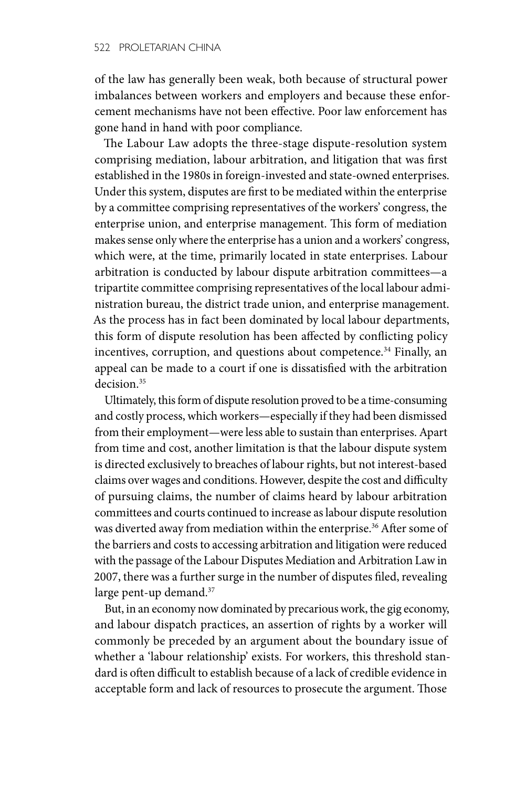of the law has generally been weak, both because of structural power imbalances between workers and employers and because these enforcement mechanisms have not been effective. Poor law enforcement has gone hand in hand with poor compliance.

The Labour Law adopts the three-stage dispute-resolution system comprising mediation, labour arbitration, and litigation that was first established in the 1980s in foreign-invested and state-owned enterprises. Under this system, disputes are first to be mediated within the enterprise by a committee comprising representatives of the workers' congress, the enterprise union, and enterprise management. This form of mediation makes sense only where the enterprise has a union and a workers' congress, which were, at the time, primarily located in state enterprises. Labour arbitration is conducted by labour dispute arbitration committees—a tripartite committee comprising representatives of the local labour administration bureau, the district trade union, and enterprise management. As the process has in fact been dominated by local labour departments, this form of dispute resolution has been affected by conflicting policy incentives, corruption, and questions about competence.<sup>34</sup> Finally, an appeal can be made to a court if one is dissatisfied with the arbitration decision.<sup>35</sup>

Ultimately, this form of dispute resolution proved to be a time-consuming and costly process, which workers—especially if they had been dismissed from their employment—were less able to sustain than enterprises. Apart from time and cost, another limitation is that the labour dispute system is directed exclusively to breaches of labour rights, but not interest-based claims over wages and conditions. However, despite the cost and difficulty of pursuing claims, the number of claims heard by labour arbitration committees and courts continued to increase as labour dispute resolution was diverted away from mediation within the enterprise.<sup>36</sup> After some of the barriers and costs to accessing arbitration and litigation were reduced with the passage of the Labour Disputes Mediation and Arbitration Law in 2007, there was a further surge in the number of disputes filed, revealing large pent-up demand.<sup>37</sup>

But, in an economy now dominated by precarious work, the gig economy, and labour dispatch practices, an assertion of rights by a worker will commonly be preceded by an argument about the boundary issue of whether a 'labour relationship' exists. For workers, this threshold standard is often difficult to establish because of a lack of credible evidence in acceptable form and lack of resources to prosecute the argument. Those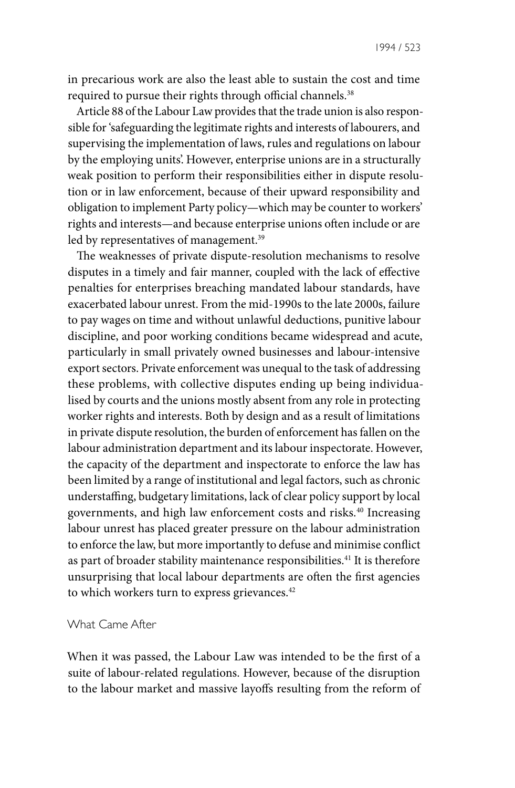in precarious work are also the least able to sustain the cost and time required to pursue their rights through official channels.<sup>38</sup>

Article 88 of the Labour Law provides that the trade union is also responsible for 'safeguarding the legitimate rights and interests of labourers, and supervising the implementation of laws, rules and regulations on labour by the employing units'. However, enterprise unions are in a structurally weak position to perform their responsibilities either in dispute resolution or in law enforcement, because of their upward responsibility and obligation to implement Party policy—which may be counter to workers' rights and interests—and because enterprise unions often include or are led by representatives of management.<sup>39</sup>

The weaknesses of private dispute-resolution mechanisms to resolve disputes in a timely and fair manner, coupled with the lack of effective penalties for enterprises breaching mandated labour standards, have exacerbated labour unrest. From the mid-1990s to the late 2000s, failure to pay wages on time and without unlawful deductions, punitive labour discipline, and poor working conditions became widespread and acute, particularly in small privately owned businesses and labour-intensive export sectors. Private enforcement was unequal to the task of addressing these problems, with collective disputes ending up being individualised by courts and the unions mostly absent from any role in protecting worker rights and interests. Both by design and as a result of limitations in private dispute resolution, the burden of enforcement has fallen on the labour administration department and its labour inspectorate. However, the capacity of the department and inspectorate to enforce the law has been limited by a range of institutional and legal factors, such as chronic understaffing, budgetary limitations, lack of clear policy support by local governments, and high law enforcement costs and risks.40 Increasing labour unrest has placed greater pressure on the labour administration to enforce the law, but more importantly to defuse and minimise conflict as part of broader stability maintenance responsibilities.<sup>41</sup> It is therefore unsurprising that local labour departments are often the first agencies to which workers turn to express grievances.<sup>42</sup>

### What Came After

When it was passed, the Labour Law was intended to be the first of a suite of labour-related regulations. However, because of the disruption to the labour market and massive layoffs resulting from the reform of